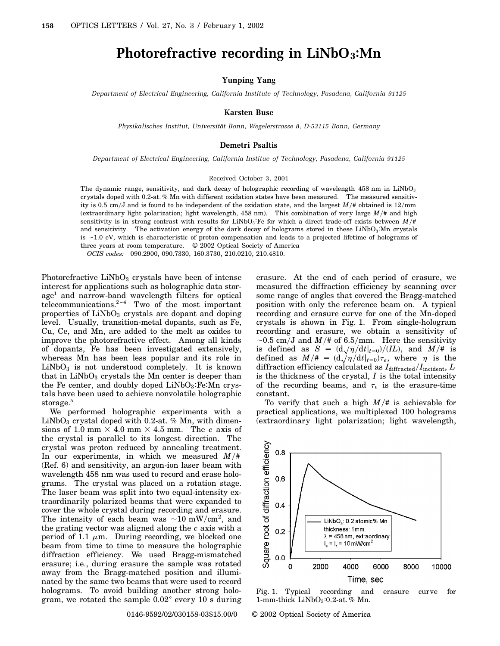## **Photorefractive recording in LiNbO3:Mn**

**Yunping Yang**

*Department of Electrical Engineering, California Institute of Technology, Pasadena, California 91125*

**Karsten Buse**

*Physikalisches Institut, Universität Bonn, Wegelerstrasse 8, D-53115 Bonn, Germany*

## **Demetri Psaltis**

*Department of Electrical Engineering, California Institue of Technology, Pasadena, California 91125*

## Received October 3, 2001

The dynamic range, sensitivity, and dark decay of holographic recording of wavelength 458 nm in LiNbO<sub>3</sub> crystals doped with 0.2-at. % Mn with different oxidation states have been measured. The measured sensitivity is 0.5 cm/J and is found to be independent of the oxidation state, and the largest  $M/\text{*}$  obtained is 12/mm (extraordinary light polarization; light wavelength,  $458 \text{ nm}$ ). This combination of very large  $M/\text{*}$  and high sensitivity is in strong contrast with results for LiNbO<sub>3</sub>:Fe for which a direct trade-off exists between  $M/\#$ and sensitivity. The activation energy of the dark decay of holograms stored in these LiNbO3:Mn crystals is -1.0 eV, which is characteristic of proton compensation and leads to a projected lifetime of holograms of three years at room temperature. © 2002 Optical Society of America

*OCIS codes:* 090.2900, 090.7330, 160.3730, 210.0210, 210.4810.

Photorefractive  $LiNbO<sub>3</sub>$  crystals have been of intense interest for applications such as holographic data storage<sup>1</sup> and narrow-band wavelength filters for optical telecommunications. $2^{-4}$  Two of the most important properties of  $LiNbO<sub>3</sub>$  crystals are dopant and doping level. Usually, transition-metal dopants, such as Fe, Cu, Ce, and Mn, are added to the melt as oxides to improve the photorefractive effect. Among all kinds of dopants, Fe has been investigated extensively, whereas Mn has been less popular and its role in  $LiNbO<sub>3</sub>$  is not understood completely. It is known that in  $LiNbO<sub>3</sub>$  crystals the Mn center is deeper than the Fe center, and doubly doped  $LiNbO<sub>3</sub>$ : Fe:Mn crystals have been used to achieve nonvolatile holographic storage.<sup>5</sup>

We performed holographic experiments with a  $LiNbO<sub>3</sub>$  crystal doped with 0.2-at. % Mn, with dimensions of 1.0 mm  $\times$  4.0 mm  $\times$  4.5 mm. The *c* axis of the crystal is parallel to its longest direction. The crystal was proton reduced by annealing treatment. In our experiments, in which we measured  $M/\#$ (Ref. 6) and sensitivity, an argon-ion laser beam with wavelength 458 nm was used to record and erase holograms. The crystal was placed on a rotation stage. The laser beam was split into two equal-intensity extraordinarily polarized beams that were expanded to cover the whole crystal during recording and erasure. The intensity of each beam was  $\sim 10 \text{ mW/cm}^2$ , and the grating vector was aligned along the *c* axis with a period of 1.1  $\mu$ m. During recording, we blocked one beam from time to time to measure the holographic diffraction efficiency. We used Bragg-mismatched erasure; i.e., during erasure the sample was rotated away from the Bragg-matched position and illuminated by the same two beams that were used to record holograms. To avoid building another strong hologram, we rotated the sample  $0.02^{\circ}$  every 10 s during

erasure. At the end of each period of erasure, we measured the diffraction efficiency by scanning over some range of angles that covered the Bragg-matched position with only the reference beam on. A typical recording and erasure curve for one of the Mn-doped crystals is shown in Fig. 1. From single-hologram recording and erasure, we obtain a sensitivity of  $\sim$ 0.5 cm/J and *M*/# of 6.5/mm. Here the sensitivity  $\infty$ 0.5 cm/*J* and *M*/ $*$  01 0.5/11.11. Here the sensitivity<br>is defined as  $S = (d\sqrt{\pi}/dt|_{t=0})/(IL)$ , and *M*/# is defined as  $\beta = (\frac{d\sqrt{\eta}}{dt}|_{t=0})/(L\pi)$ , and  $M/\pi$  is the defined as  $M/\pi = (\frac{d\sqrt{\eta}}{dt}|_{t=0})\tau_e$ , where  $\eta$  is the diffraction efficiency calculated as  $I_{\text{diffracted}}/I_{\text{incident}}, L$ is the thickness of the crystal, *I* is the total intensity of the recording beams, and  $\tau_e$  is the erasure-time constant.

To verify that such a high  $M/\#$  is achievable for practical applications, we multiplexed 100 holograms (extraordinary light polarization; light wavelength,



Fig. 1. Typical recording and erasure curve for 1-mm-thick  $LiNbO<sub>3</sub>:0.2-at. %$  Mn.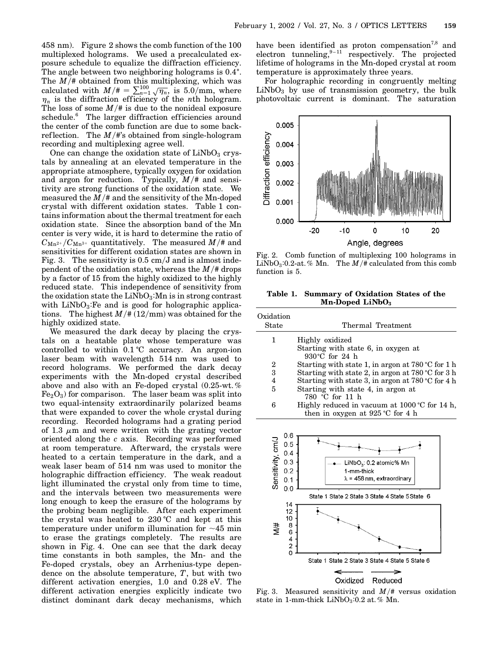458 nm). Figure 2 shows the comb function of the 100 multiplexed holograms. We used a precalculated exposure schedule to equalize the diffraction efficiency. The angle between two neighboring holograms is 0.4 $^{\circ}$ . The  $M/\text{\#}$  obtained from this multiplexing, which was calculated with  $M/\pi = \sum_{n=1}^{100} \sqrt{\eta_n}$ , is 5.0/mm, where  $\eta_n$  is the diffraction efficiency of the *n*th hologram. The loss of some  $M/\#$  is due to the nonideal exposure schedule.<sup>6</sup> The larger diffraction efficiencies around the center of the comb function are due to some backreflection. The  $M/\#$ 's obtained from single-hologram recording and multiplexing agree well.

One can change the oxidation state of  $LiNbO<sub>3</sub>$  crystals by annealing at an elevated temperature in the appropriate atmosphere, typically oxygen for oxidation and argon for reduction. Typically,  $M/\text{*}$  and sensitivity are strong functions of the oxidation state. We measured the  $M/\text{#}$  and the sensitivity of the Mn-doped crystal with different oxidation states. Table 1 contains information about the thermal treatment for each oxidation state. Since the absorption band of the Mn center is very wide, it is hard to determine the ratio of  $C_{Mn^{2+}}/C_{Mn^{3+}}$  quantitatively. The measured  $M/\text{\#}$  and sensitivities for different oxidation states are shown in Fig. 3. The sensitivity is  $0.5 \text{ cm/J}$  and is almost independent of the oxidation state, whereas the  $M/\text{\# drops}$ by a factor of 15 from the highly oxidized to the highly reduced state. This independence of sensitivity from the oxidation state the  $LiNbO<sub>3</sub>$ : Mn is in strong contrast with  $LiNbO<sub>3</sub>$ : Fe and is good for holographic applications. The highest  $M/\text{#} (12/\text{mm})$  was obtained for the highly oxidized state.

We measured the dark decay by placing the crystals on a heatable plate whose temperature was controlled to within  $0.1 \degree C$  accuracy. An argon-ion laser beam with wavelength 514 nm was used to record holograms. We performed the dark decay experiments with the Mn-doped crystal described above and also with an Fe-doped crystal (0.25-wt. %  $Fe<sub>2</sub>O<sub>3</sub>$ ) for comparison. The laser beam was split into two equal-intensity extraordinarily polarized beams that were expanded to cover the whole crystal during recording. Recorded holograms had a grating period of 1.3  $\mu$ m and were written with the grating vector oriented along the *c* axis. Recording was performed at room temperature. Afterward, the crystals were heated to a certain temperature in the dark, and a weak laser beam of 514 nm was used to monitor the holographic diffraction efficiency. The weak readout light illuminated the crystal only from time to time, and the intervals between two measurements were long enough to keep the erasure of the holograms by the probing beam negligible. After each experiment the crystal was heated to 230 °C and kept at this temperature under uniform illumination for  $\sim$  45 min to erase the gratings completely. The results are shown in Fig. 4. One can see that the dark decay time constants in both samples, the Mn- and the Fe-doped crystals, obey an Arrhenius-type dependence on the absolute temperature, *T*, but with two different activation energies, 1.0 and 0.28 eV. The different activation energies explicitly indicate two distinct dominant dark decay mechanisms, which have been identified as proton compensation<sup>7,8</sup> and electron tunneling,  $9-11$  respectively. The projected lifetime of holograms in the Mn-doped crystal at room temperature is approximately three years.

For holographic recording in congruently melting  $LiNbO<sub>3</sub>$  by use of transmission geometry, the bulk photovoltaic current is dominant. The saturation



Fig. 2. Comb function of multiplexing 100 holograms in LiNbO<sub>3</sub>:0.2-at. % Mn. The  $M/\text{\# calculated from this comb}$ function is 5.

**Table 1. Summary of Oxidation States of the Mn-Doped LiNbO3**

| Oxidation<br>State | Thermal Treatment                                                                            |
|--------------------|----------------------------------------------------------------------------------------------|
| 1                  | Highly oxidized                                                                              |
|                    | Starting with state 6, in oxygen at<br>930 $^{\circ}$ C for 24 h                             |
| 2                  | Starting with state 1, in argon at $780^{\circ}$ C for 1 h                                   |
| 3                  | Starting with state 2, in argon at $780^{\circ}$ C for 3 h                                   |
| 4                  | Starting with state 3, in argon at 780 $\degree$ C for 4 h                                   |
| 5                  | Starting with state 4, in argon at<br>780 °C for 11 h                                        |
| 6                  | Highly reduced in vacuum at $1000^{\circ}$ C for 14 h,<br>then in oxygen at $925$ °C for 4 h |
| 0.6                |                                                                                              |



Fig. 3. Measured sensitivity and  $M/\text{*}$  versus oxidation state in 1-mm-thick  $LiNbO<sub>3</sub>:0.2$  at. % Mn.